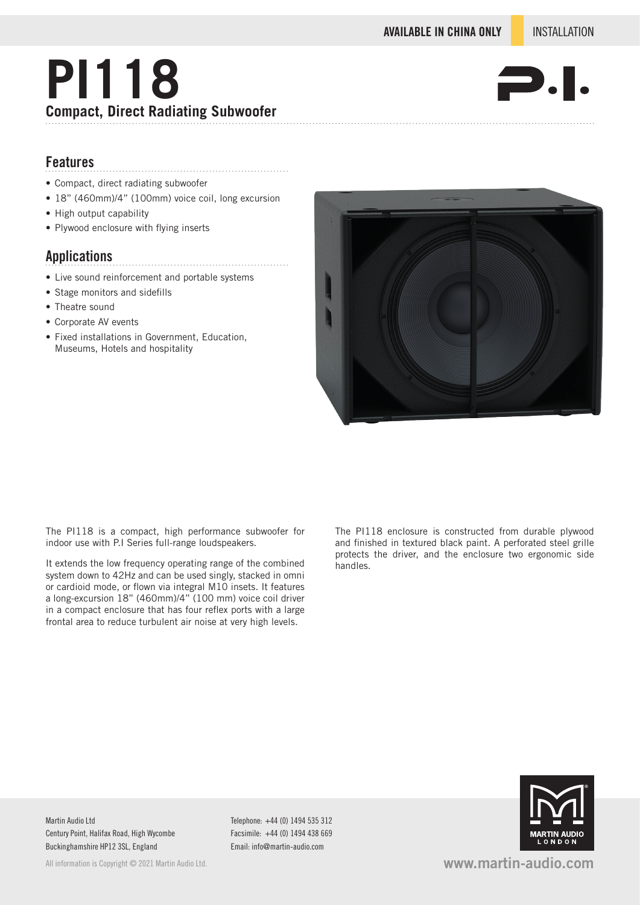# **PI118 Compact, Direct Radiating Subwoofer**



### **Features**

- Compact, direct radiating subwoofer
- 18" (460mm)/4" (100mm) voice coil, long excursion

- High output capability
- Plywood enclosure with flying inserts

#### **Applications**

- Live sound reinforcement and portable systems
- Stage monitors and sidefills
- Theatre sound
- Corporate AV events
- Fixed installations in Government, Education, Museums, Hotels and hospitality



The PI118 is a compact, high performance subwoofer for indoor use with P.I Series full-range loudspeakers.

It extends the low frequency operating range of the combined system down to 42Hz and can be used singly, stacked in omni or cardioid mode, or flown via integral M10 insets. It features a long-excursion 18" (460mm)/4" (100 mm) voice coil driver in a compact enclosure that has four reflex ports with a large frontal area to reduce turbulent air noise at very high levels.

The PI118 enclosure is constructed from durable plywood and finished in textured black paint. A perforated steel grille protects the driver, and the enclosure two ergonomic side handles.

Martin Audio Ltd Century Point, Halifax Road, High Wycombe Buckinghamshire HP12 3SL, England

All information is Copyright © 2021 Martin Audio Ltd.

Telephone: +44 (0) 1494 535 312 Facsimile: +44 (0) 1494 438 669 Email: info@martin-audio.com



**www.martin-audio.com**